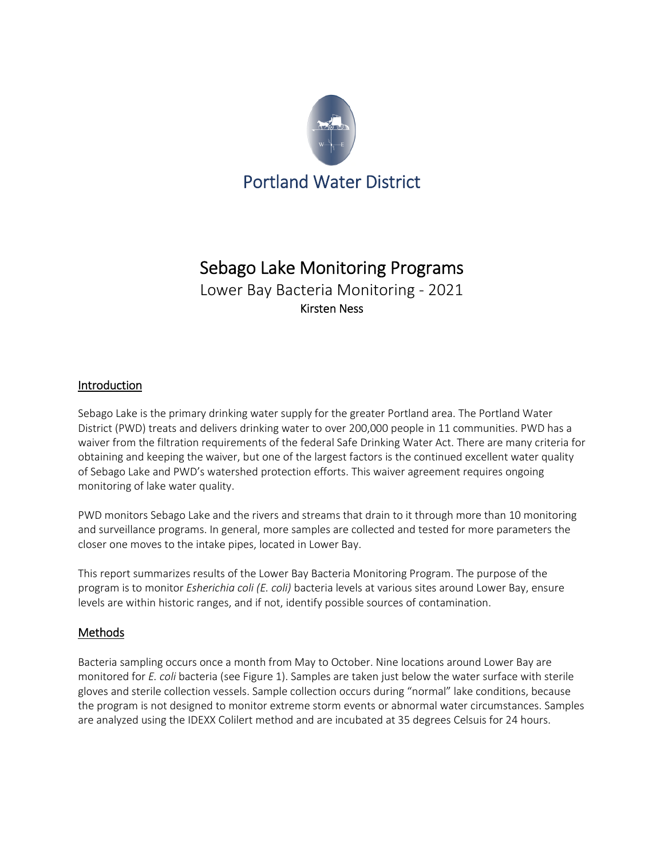

# Sebago Lake Monitoring Programs

Lower Bay Bacteria Monitoring - 2021 Kirsten Ness

## Introduction

Sebago Lake is the primary drinking water supply for the greater Portland area. The Portland Water District (PWD) treats and delivers drinking water to over 200,000 people in 11 communities. PWD has a waiver from the filtration requirements of the federal Safe Drinking Water Act. There are many criteria for obtaining and keeping the waiver, but one of the largest factors is the continued excellent water quality of Sebago Lake and PWD's watershed protection efforts. This waiver agreement requires ongoing monitoring of lake water quality.

PWD monitors Sebago Lake and the rivers and streams that drain to it through more than 10 monitoring and surveillance programs. In general, more samples are collected and tested for more parameters the closer one moves to the intake pipes, located in Lower Bay.

This report summarizes results of the Lower Bay Bacteria Monitoring Program. The purpose of the program is to monitor *Esherichia coli (E. coli)* bacteria levels at various sites around Lower Bay, ensure levels are within historic ranges, and if not, identify possible sources of contamination.

## **Methods**

Bacteria sampling occurs once a month from May to October. Nine locations around Lower Bay are monitored for *E. coli* bacteria (see Figure 1). Samples are taken just below the water surface with sterile gloves and sterile collection vessels. Sample collection occurs during "normal" lake conditions, because the program is not designed to monitor extreme storm events or abnormal water circumstances. Samples are analyzed using the IDEXX Colilert method and are incubated at 35 degrees Celsuis for 24 hours.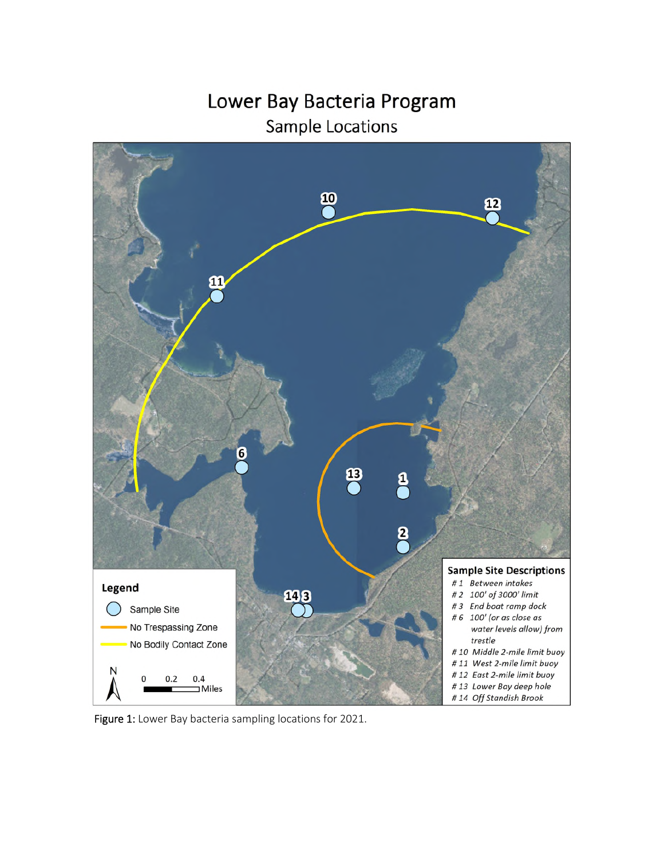Lower Bay Bacteria Program Sample Locations



Figure 1: Lower Bay bacteria sampling locations for 2021.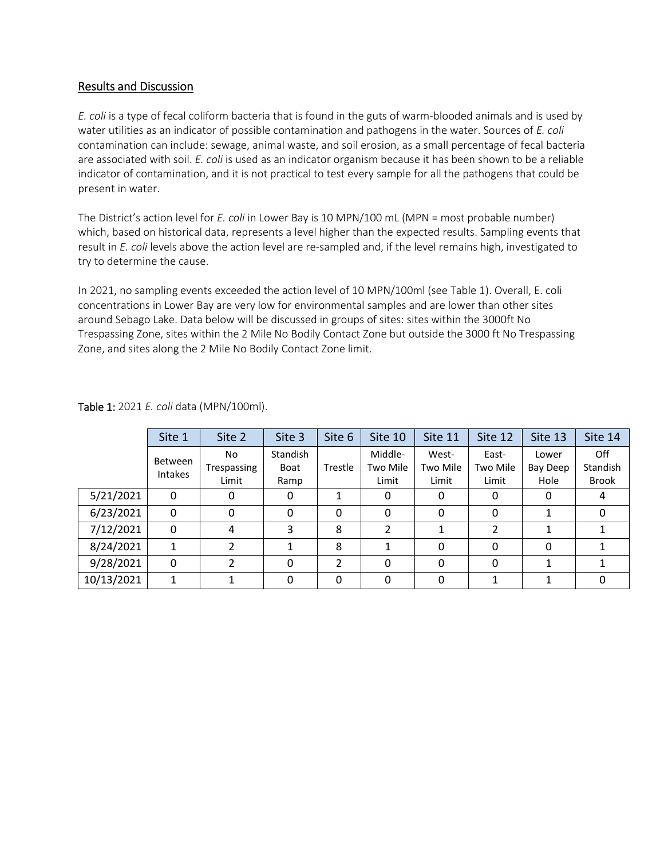## Results and Discussion

*E. coli* is a type of fecal coliform bacteria that is found in the guts of warm-blooded animals and is used by water utilities as an indicator of possible contamination and pathogens in the water. Sources of *E. coli* contamination can include: sewage, animal waste, and soil erosion, as a small percentage of fecal bacteria are associated with soil. *E. coli* is used as an indicator organism because it has been shown to be a reliable indicator of contamination, and it is not practical to test every sample for all the pathogens that could be present in water.

The District's action level for *E. coli* in Lower Bay is 10 MPN/100 mL (MPN = most probable number) which, based on historical data, represents a level higher than the expected results. Sampling events that result in *E. coli* levels above the action level are re-sampled and, if the level remains high, investigated to try to determine the cause.

In 2021, no sampling events exceeded the action level of 10 MPN/100ml (see Table 1). Overall, E. coli concentrations in Lower Bay are very low for environmental samples and are lower than other sites around Sebago Lake. Data below will be discussed in groups of sites: sites within the 3000ft No Trespassing Zone, sites within the 2 Mile No Bodily Contact Zone but outside the 3000 ft No Trespassing Zone, and sites along the 2 Mile No Bodily Contact Zone limit.

|            | Site 1                    | Site 2                      | Site 3                          | Site 6       | Site 10                      | Site 11                    | Site 12                    | Site 13                   | Site 14                         |
|------------|---------------------------|-----------------------------|---------------------------------|--------------|------------------------------|----------------------------|----------------------------|---------------------------|---------------------------------|
|            | Between<br><b>Intakes</b> | No.<br>Trespassing<br>Limit | Standish<br><b>Boat</b><br>Ramp | Trestle      | Middle-<br>Two Mile<br>Limit | West-<br>Two Mile<br>Limit | East-<br>Two Mile<br>Limit | Lower<br>Bay Deep<br>Hole | Off<br>Standish<br><b>Brook</b> |
| 5/21/2021  | 0                         | 0                           | 0                               | 1            | 0                            | 0                          | 0                          | 0                         | 4                               |
| 6/23/2021  | 0                         | 0                           | 0                               | 0            | 0                            | 0                          | 0                          |                           | Ω                               |
| 7/12/2021  | $\Omega$                  | 4                           | 3                               | 8            | 2                            |                            | $\overline{2}$             | 1                         |                                 |
| 8/24/2021  | 1                         | $\mathcal{P}$               | 1                               | 8            | 1                            | 0                          | 0                          | 0                         |                                 |
| 9/28/2021  | 0                         | $\mathcal{P}$               | 0                               | 2            | $\Omega$                     | 0                          | 0                          |                           |                                 |
| 10/13/2021 | 1                         |                             | 0                               | $\mathbf{0}$ | $\Omega$                     | 0                          |                            |                           | 0                               |

Table 1: 2021 *E. coli* data (MPN/100ml).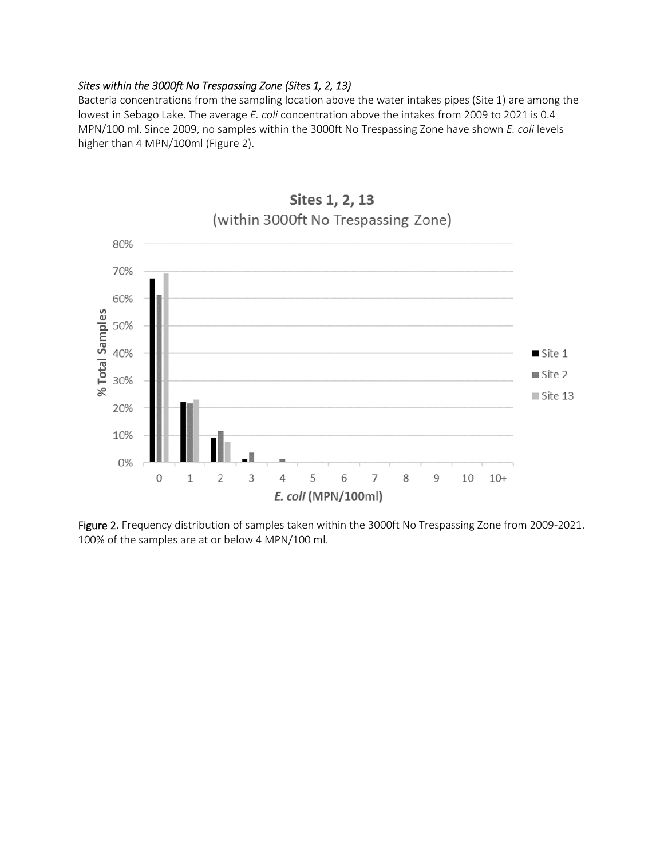#### *Sites within the 3000ft No Trespassing Zone (Sites 1, 2, 13)*

Bacteria concentrations from the sampling location above the water intakes pipes (Site 1) are among the lowest in Sebago Lake. The average *E. coli* concentration above the intakes from 2009 to 2021 is 0.4 MPN/100 ml. Since 2009, no samples within the 3000ft No Trespassing Zone have shown *E. coli* levels higher than 4 MPN/100ml (Figure 2).



Sites 1, 2, 13

Figure 2. Frequency distribution of samples taken within the 3000ft No Trespassing Zone from 2009-2021. 100% of the samples are at or below 4 MPN/100 ml.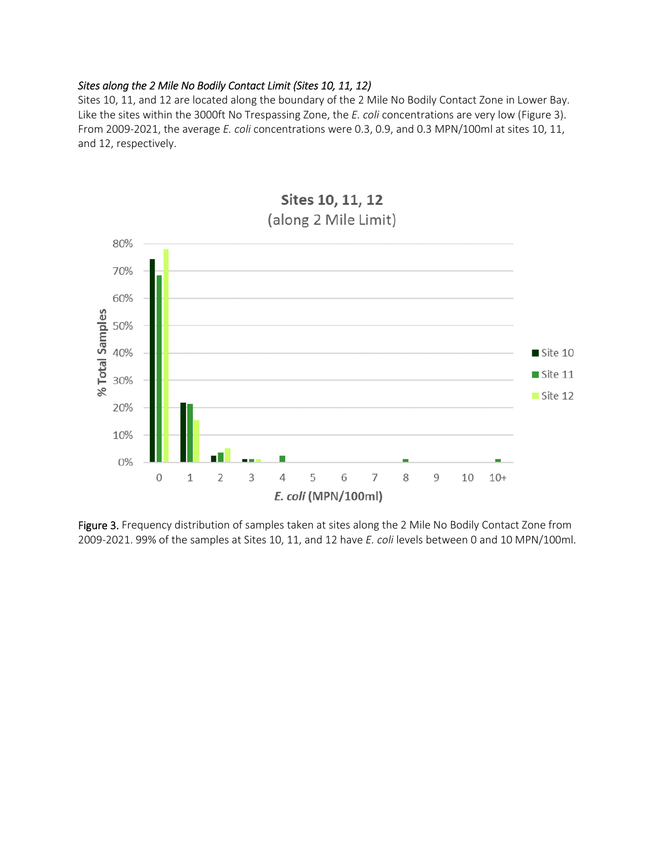#### *Sites along the 2 Mile No Bodily Contact Limit (Sites 10, 11, 12)*

Sites 10, 11, and 12 are located along the boundary of the 2 Mile No Bodily Contact Zone in Lower Bay. Like the sites within the 3000ft No Trespassing Zone, the *E. coli* concentrations are very low (Figure 3). From 2009-2021, the average *E. coli* concentrations were 0.3, 0.9, and 0.3 MPN/100ml at sites 10, 11, and 12, respectively.



Figure 3. Frequency distribution of samples taken at sites along the 2 Mile No Bodily Contact Zone from 2009-2021. 99% of the samples at Sites 10, 11, and 12 have *E. coli* levels between 0 and 10 MPN/100ml.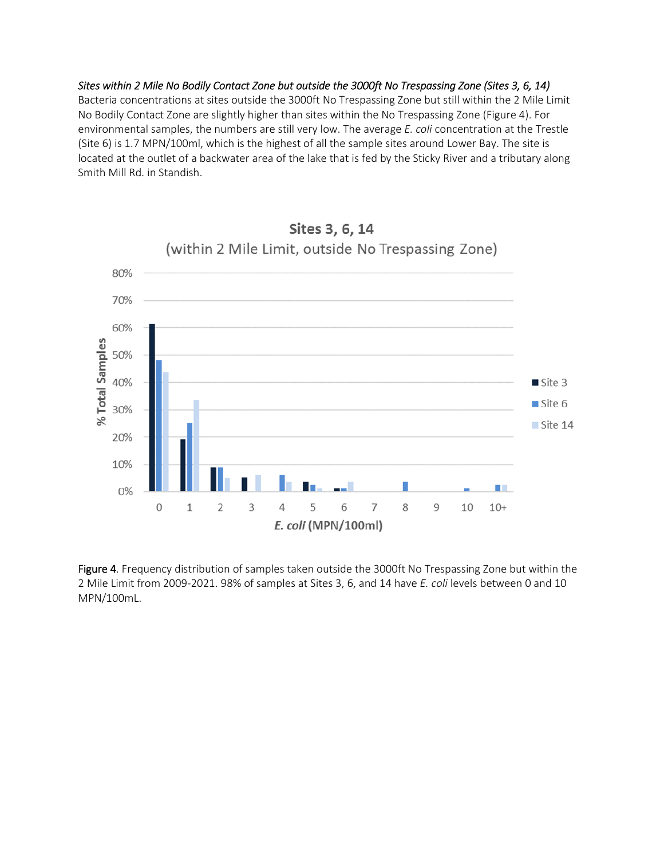*Sites within 2 Mile No Bodily Contact Zone but outside the 3000ft No Trespassing Zone (Sites 3, 6, 14)*  Bacteria concentrations at sites outside the 3000ft No Trespassing Zone but still within the 2 Mile Limit No Bodily Contact Zone are slightly higher than sites within the No Trespassing Zone (Figure 4). For environmental samples, the numbers are still very low. The average *E. coli* concentration at the Trestle (Site 6) is 1.7 MPN/100ml, which is the highest of all the sample sites around Lower Bay. The site is located at the outlet of a backwater area of the lake that is fed by the Sticky River and a tributary along Smith Mill Rd. in Standish.



Figure 4. Frequency distribution of samples taken outside the 3000ft No Trespassing Zone but within the 2 Mile Limit from 2009-2021. 98% of samples at Sites 3, 6, and 14 have *E. coli* levels between 0 and 10 MPN/100mL.